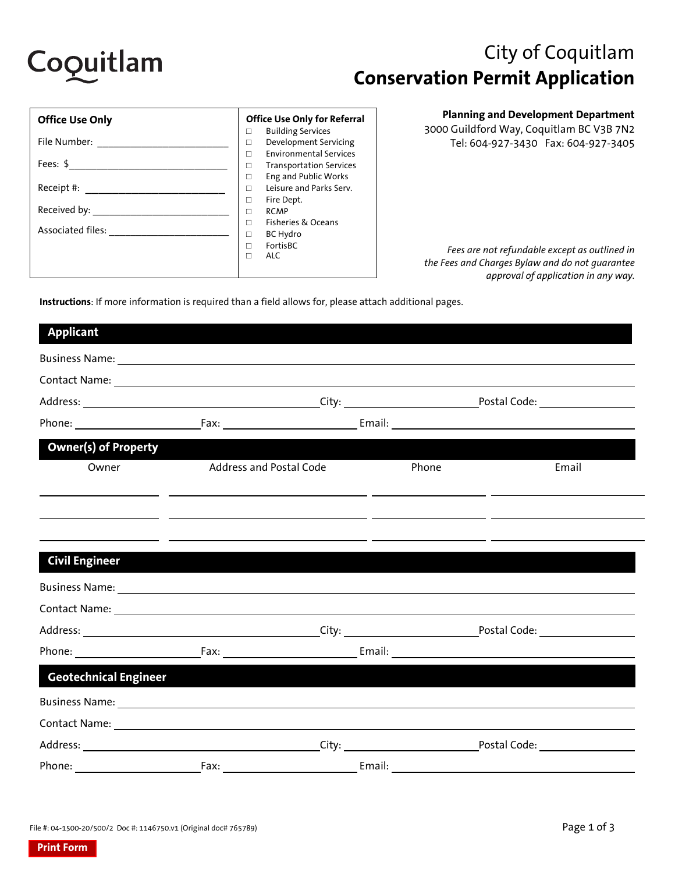

# City of Coquitlam **Conservation Permit Application**

| <b>Office Use Only</b>                          | <b>Office Use Only for Referral</b>                                                                                                                                                    |
|-------------------------------------------------|----------------------------------------------------------------------------------------------------------------------------------------------------------------------------------------|
| File Number:<br>Fees: $$$                       | <b>Building Services</b><br>п<br>Development Servicing<br>п<br><b>Environmental Services</b><br>п<br><b>Transportation Services</b><br>□                                               |
| Receipt #:<br>Received by:<br>Associated files: | <b>Eng and Public Works</b><br>п<br>Leisure and Parks Serv.<br>П<br>Fire Dept.<br>п<br><b>RCMP</b><br>П<br><b>Fisheries &amp; Oceans</b><br>П<br><b>BC Hydro</b><br>п<br>FortisBC<br>п |
|                                                 | <b>ALC</b><br>п                                                                                                                                                                        |

**Planning and Development Department** 

3000 Guildford Way, Coquitlam BC V3B 7N2 Tel: 604-927-3430 Fax: 604-927-3405

*Fees are not refundable except as outlined in the Fees and Charges Bylaw and do not guarantee approval of application in any way.* 

**Instructions**: If more information is required than a field allows for, please attach additional pages.

| <b>Applicant</b>             |                                                                                                                       |                                                                                                                       |       |                                      |
|------------------------------|-----------------------------------------------------------------------------------------------------------------------|-----------------------------------------------------------------------------------------------------------------------|-------|--------------------------------------|
|                              |                                                                                                                       |                                                                                                                       |       |                                      |
|                              |                                                                                                                       |                                                                                                                       |       |                                      |
|                              |                                                                                                                       |                                                                                                                       |       |                                      |
|                              |                                                                                                                       |                                                                                                                       |       |                                      |
| <b>Owner(s) of Property</b>  |                                                                                                                       |                                                                                                                       |       |                                      |
| Owner                        | <b>Address and Postal Code</b>                                                                                        |                                                                                                                       | Phone | Email                                |
|                              |                                                                                                                       | <u> 1999 - Johann Harry Harry Harry Harry Harry Harry Harry Harry Harry Harry Harry Harry Harry Harry Harry Harry</u> |       |                                      |
|                              |                                                                                                                       |                                                                                                                       |       |                                      |
|                              | <u> 1990 - Jan James Sandar (h. 1980).</u> Demokratik eta Antonio eta Antonio eta Antonio eta Antonio eta Antonio eta |                                                                                                                       |       |                                      |
| <b>Civil Engineer</b>        |                                                                                                                       |                                                                                                                       |       |                                      |
|                              |                                                                                                                       |                                                                                                                       |       |                                      |
|                              |                                                                                                                       |                                                                                                                       |       |                                      |
|                              |                                                                                                                       |                                                                                                                       |       |                                      |
|                              |                                                                                                                       |                                                                                                                       |       |                                      |
| <b>Geotechnical Engineer</b> |                                                                                                                       |                                                                                                                       |       |                                      |
|                              |                                                                                                                       |                                                                                                                       |       |                                      |
|                              |                                                                                                                       |                                                                                                                       |       |                                      |
|                              |                                                                                                                       |                                                                                                                       |       | Postal Code: <u>________________</u> |
| Phone:                       | Fax:                                                                                                                  | Email:                                                                                                                |       |                                      |

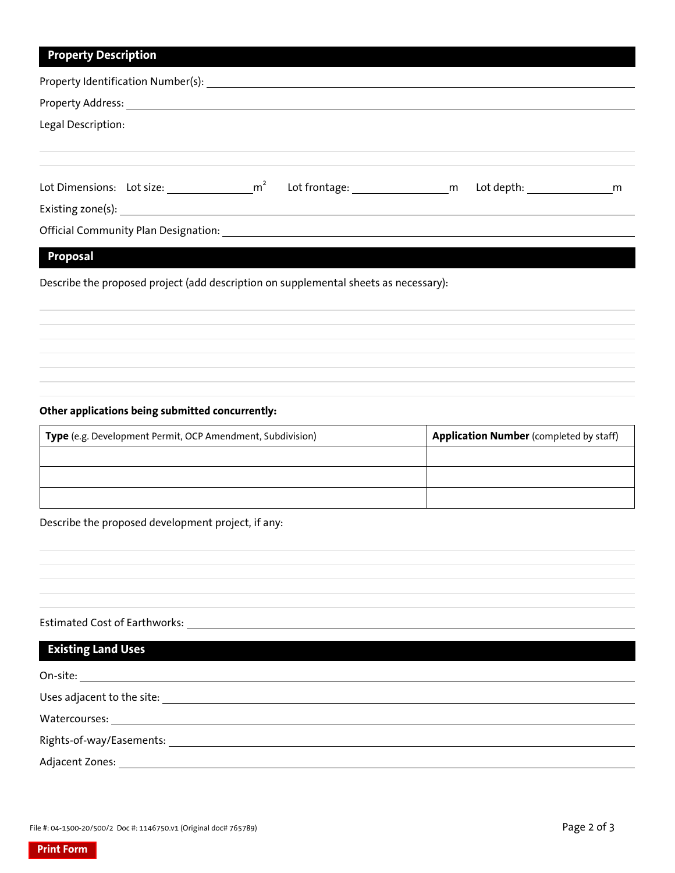#### **Property Description**

| Property Identification Number(s):       |  |                   |                                                                                                                      |
|------------------------------------------|--|-------------------|----------------------------------------------------------------------------------------------------------------------|
|                                          |  |                   |                                                                                                                      |
| Legal Description:                       |  |                   |                                                                                                                      |
|                                          |  |                   |                                                                                                                      |
| Lot Dimensions: Lot size: $\mathsf{m}^2$ |  | Lot frontage: m m | Lot depth: and the state of the state of the state of the state of the state of the state of the state of the s<br>m |
| Official Community Plan Designation:     |  |                   |                                                                                                                      |

### **Proposal**

Describe the proposed project (add description on supplemental sheets as necessary):

#### **Other applications being submitted concurrently:**

| Type (e.g. Development Permit, OCP Amendment, Subdivision) | <b>Application Number</b> (completed by staff) |
|------------------------------------------------------------|------------------------------------------------|
|                                                            |                                                |
|                                                            |                                                |
|                                                            |                                                |

Describe the proposed development project, if any:

## Estimated Cost of Earthworks:

| <b>Existing Land Uses</b>                             |  |
|-------------------------------------------------------|--|
| On-site: <u>_______</u>                               |  |
| Uses adjacent to the site: Uses adjacent to the site: |  |
|                                                       |  |
|                                                       |  |
| Adjacent Zones:                                       |  |